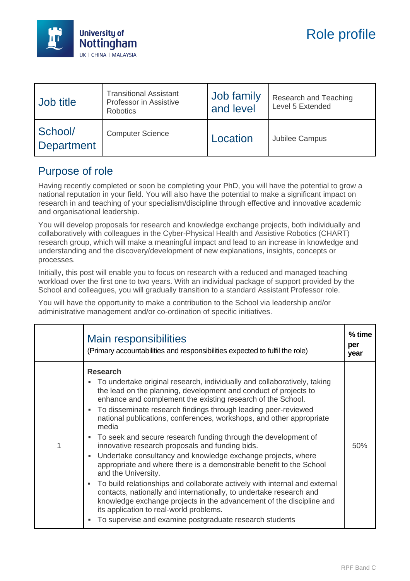

| Job title                    | <b>Transitional Assistant</b><br>Professor in Assistive<br><b>Robotics</b> | Job family<br>and level | Research and Teaching<br>Level 5 Extended |
|------------------------------|----------------------------------------------------------------------------|-------------------------|-------------------------------------------|
| School/<br><b>Department</b> | <b>Computer Science</b>                                                    | Location                | Jubilee Campus                            |

## Purpose of role

Having recently completed or soon be completing your PhD, you will have the potential to grow a national reputation in your field. You will also have the potential to make a significant impact on research in and teaching of your specialism/discipline through effective and innovative academic and organisational leadership.

You will develop proposals for research and knowledge exchange projects, both individually and collaboratively with colleagues in the Cyber-Physical Health and Assistive Robotics (CHART) research group, which will make a meaningful impact and lead to an increase in knowledge and understanding and the discovery/development of new explanations, insights, concepts or processes.

Initially, this post will enable you to focus on research with a reduced and managed teaching workload over the first one to two years. With an individual package of support provided by the School and colleagues, you will gradually transition to a standard Assistant Professor role.

You will have the opportunity to make a contribution to the School via leadership and/or administrative management and/or co-ordination of specific initiatives.

|   | <b>Main responsibilities</b><br>(Primary accountabilities and responsibilities expected to fulfil the role)                                                                                                                                                                                                                                                                                                                                                                                                                                                                                                                                                                                                                                                                                                                                                                                                                                                                                                              | $%$ time<br>per<br>year |
|---|--------------------------------------------------------------------------------------------------------------------------------------------------------------------------------------------------------------------------------------------------------------------------------------------------------------------------------------------------------------------------------------------------------------------------------------------------------------------------------------------------------------------------------------------------------------------------------------------------------------------------------------------------------------------------------------------------------------------------------------------------------------------------------------------------------------------------------------------------------------------------------------------------------------------------------------------------------------------------------------------------------------------------|-------------------------|
| 1 | <b>Research</b><br>To undertake original research, individually and collaboratively, taking<br>the lead on the planning, development and conduct of projects to<br>enhance and complement the existing research of the School.<br>To disseminate research findings through leading peer-reviewed<br>٠<br>national publications, conferences, workshops, and other appropriate<br>media<br>• To seek and secure research funding through the development of<br>innovative research proposals and funding bids.<br>Undertake consultancy and knowledge exchange projects, where<br>٠<br>appropriate and where there is a demonstrable benefit to the School<br>and the University.<br>To build relationships and collaborate actively with internal and external<br>٠<br>contacts, nationally and internationally, to undertake research and<br>knowledge exchange projects in the advancement of the discipline and<br>its application to real-world problems.<br>To supervise and examine postgraduate research students | 50%                     |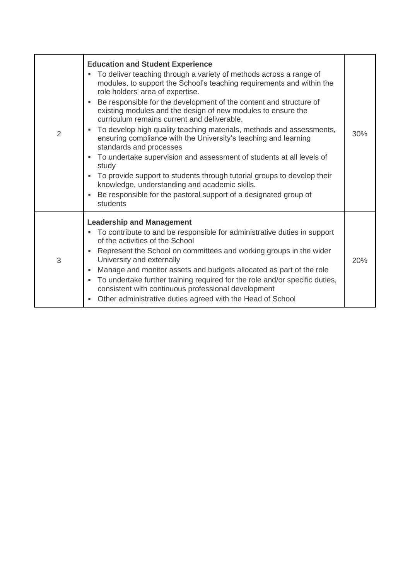| 2 | <b>Education and Student Experience</b><br>To deliver teaching through a variety of methods across a range of<br>modules, to support the School's teaching requirements and within the<br>role holders' area of expertise.<br>Be responsible for the development of the content and structure of<br>existing modules and the design of new modules to ensure the<br>curriculum remains current and deliverable.<br>To develop high quality teaching materials, methods and assessments,<br>ensuring compliance with the University's teaching and learning<br>standards and processes<br>To undertake supervision and assessment of students at all levels of<br>٠<br>study<br>To provide support to students through tutorial groups to develop their<br>٠<br>knowledge, understanding and academic skills.<br>Be responsible for the pastoral support of a designated group of<br>х<br>students | 30% |
|---|---------------------------------------------------------------------------------------------------------------------------------------------------------------------------------------------------------------------------------------------------------------------------------------------------------------------------------------------------------------------------------------------------------------------------------------------------------------------------------------------------------------------------------------------------------------------------------------------------------------------------------------------------------------------------------------------------------------------------------------------------------------------------------------------------------------------------------------------------------------------------------------------------|-----|
| 3 | <b>Leadership and Management</b><br>• To contribute to and be responsible for administrative duties in support<br>of the activities of the School<br>Represent the School on committees and working groups in the wider<br>٠<br>University and externally<br>Manage and monitor assets and budgets allocated as part of the role<br>٠<br>To undertake further training required for the role and/or specific duties,<br>٠<br>consistent with continuous professional development<br>Other administrative duties agreed with the Head of School<br>٠                                                                                                                                                                                                                                                                                                                                               | 20% |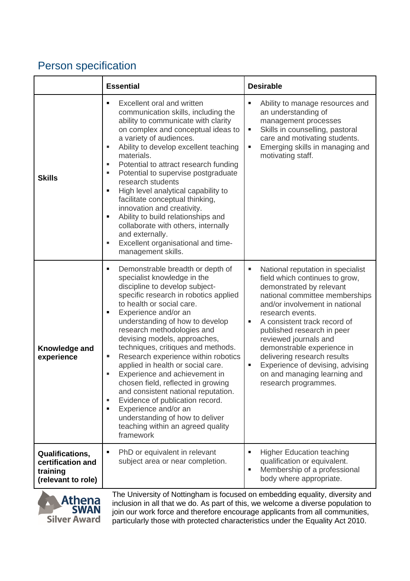## Person specification

|                                                                        | <b>Essential</b>                                                                                                                                                                                                                                                                                                                                                                                                                                                                                                                                                                                                                                                                                               | <b>Desirable</b>                                                                                                                                                                                                                                                                                                                                                                                                                                       |
|------------------------------------------------------------------------|----------------------------------------------------------------------------------------------------------------------------------------------------------------------------------------------------------------------------------------------------------------------------------------------------------------------------------------------------------------------------------------------------------------------------------------------------------------------------------------------------------------------------------------------------------------------------------------------------------------------------------------------------------------------------------------------------------------|--------------------------------------------------------------------------------------------------------------------------------------------------------------------------------------------------------------------------------------------------------------------------------------------------------------------------------------------------------------------------------------------------------------------------------------------------------|
| <b>Skills</b>                                                          | Excellent oral and written<br>$\blacksquare$<br>communication skills, including the<br>ability to communicate with clarity<br>on complex and conceptual ideas to<br>a variety of audiences.<br>Ability to develop excellent teaching<br>п<br>materials.<br>Potential to attract research funding<br>ш<br>Potential to supervise postgraduate<br>П<br>research students<br>High level analytical capability to<br>Ξ<br>facilitate conceptual thinking,<br>innovation and creativity.<br>Ability to build relationships and<br>Ξ<br>collaborate with others, internally<br>and externally.<br>Excellent organisational and time-<br>ш<br>management skills.                                                      | Ability to manage resources and<br>Ξ<br>an understanding of<br>management processes<br>Skills in counselling, pastoral<br>٠<br>care and motivating students.<br>Emerging skills in managing and<br>٠<br>motivating staff.                                                                                                                                                                                                                              |
| Knowledge and<br>experience                                            | Demonstrable breadth or depth of<br>Ξ<br>specialist knowledge in the<br>discipline to develop subject-<br>specific research in robotics applied<br>to health or social care.<br>Experience and/or an<br>Ξ<br>understanding of how to develop<br>research methodologies and<br>devising models, approaches,<br>techniques, critiques and methods.<br>Research experience within robotics<br>ш<br>applied in health or social care.<br>Experience and achievement in<br>п<br>chosen field, reflected in growing<br>and consistent national reputation.<br>Evidence of publication record.<br>ш<br>Experience and/or an<br>٠<br>understanding of how to deliver<br>teaching within an agreed quality<br>framework | National reputation in specialist<br>п<br>field which continues to grow,<br>demonstrated by relevant<br>national committee memberships<br>and/or involvement in national<br>research events.<br>A consistent track record of<br>Е<br>published research in peer<br>reviewed journals and<br>demonstrable experience in<br>delivering research results<br>Experience of devising, advising<br>٠<br>on and managing learning and<br>research programmes. |
| Qualifications,<br>certification and<br>training<br>(relevant to role) | PhD or equivalent in relevant<br>٠<br>subject area or near completion.                                                                                                                                                                                                                                                                                                                                                                                                                                                                                                                                                                                                                                         | <b>Higher Education teaching</b><br>٠<br>qualification or equivalent.<br>Membership of a professional<br>٠<br>body where appropriate.                                                                                                                                                                                                                                                                                                                  |



The University of Nottingham is focused on embedding equality, diversity and inclusion in all that we do. As part of this, we welcome a diverse population to join our work force and therefore encourage applicants from all communities, particularly those with protected characteristics under the Equality Act 2010.